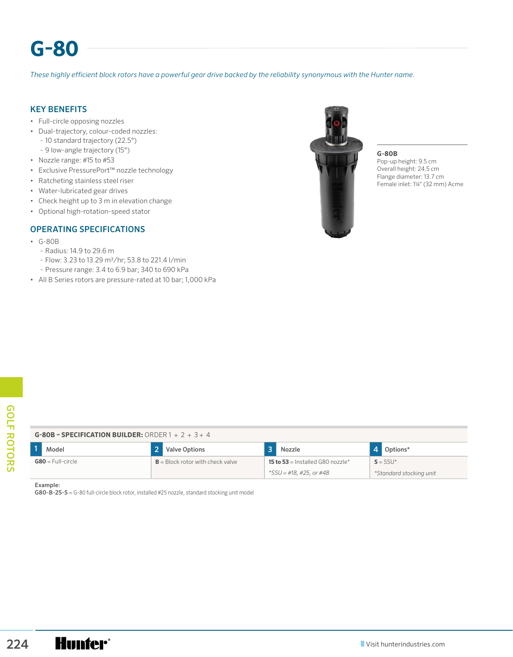# **G-80**

*These highly efficient block rotors have a powerful gear drive backed by the reliability synonymous with the Hunter name.*

## KEY BENEFITS

- Full-circle opposing nozzles
- Dual-trajectory, colour-coded nozzles:
	- 10 standard trajectory (22.5°)
	- 9 low-angle trajectory (15°)
- Nozzle range: #15 to #53
- Exclusive PressurePort™ nozzle technology
- Ratcheting stainless steel riser
- Water-lubricated gear drives
- Check height up to 3 m in elevation change
- Optional high-rotation-speed stator

### OPERATING SPECIFICATIONS

- G-80B
	- Radius: 14.9 to 29.6 m
	- Flow: 3.23 to 13.29 m3/hr; 53.8 to 221.4 l/min
	- Pressure range: 3.4 to 6.9 bar; 340 to 690 kPa
- All B Series rotors are pressure-rated at 10 bar; 1,000 kPa



**G-80B** Pop-up height: 9.5 cm Overall height: 24.5 cm Flange diameter: 13.7 cm Female inlet: 1¼" (32 mm) Acme

| Model               | 2 <sup>1</sup><br><b>Valve Options</b> | $\overline{\mathbf{3}}$<br>Nozzle       | $\overline{4}$<br>Options* |  |
|---------------------|----------------------------------------|-----------------------------------------|----------------------------|--|
| $G80 = Full-circle$ | $B = Block$ rotor with check valve     | <b>15 to 53</b> = Installed G80 nozzle* | $S = SSU^*$                |  |
|                     |                                        | *SSU = #18, #25, or #48                 | *Standard stocking unit    |  |
|                     |                                        |                                         |                            |  |

#### Example: